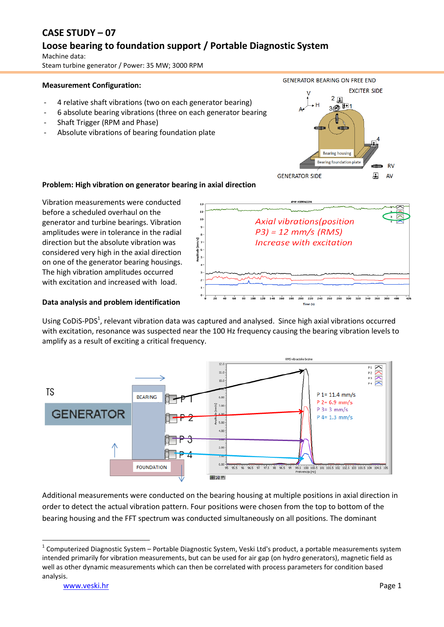# **CASE STUDY – 07**

## **Loose bearing to foundation support / Portable Diagnostic System**

Machine data: Steam turbine generator / Power: 35 MW; 3000 RPM

#### **Measurement Configuration:**

- 4 relative shaft vibrations (two on each generator bearing)
- 6 absolute bearing vibrations (three on each generator bearing
- Shaft Trigger (RPM and Phase)
- Absolute vibrations of bearing foundation plate



**Problem: High vibration on generator bearing in axial direction**

Vibration measurements were conducted before a scheduled overhaul on the generator and turbine bearings. Vibration amplitudes were in tolerance in the radial direction but the absolute vibration was considered very high in the axial direction on one of the generator bearing housings. The high vibration amplitudes occurred with excitation and increased with load.



#### **Data analysis and problem identification**

Using CoDiS-PDS<sup>1</sup>, relevant vibration data was captured and analysed. Since high axial vibrations occurred with excitation, resonance was suspected near the 100 Hz frequency causing the bearing vibration levels to amplify as a result of exciting a critical frequency.



Additional measurements were conducted on the bearing housing at multiple positions in axial direction in order to detect the actual vibration pattern. Four positions were chosen from the top to bottom of the bearing housing and the FFT spectrum was conducted simultaneously on all positions. The dominant

**.** 

 $1$  Computerized Diagnostic System – Portable Diagnostic System, Veski Ltd's product, a portable measurements system intended primarily for vibration measurements, but can be used for air gap (on hydro generators), magnetic field as well as other dynamic measurements which can then be correlated with process parameters for condition based analysis.